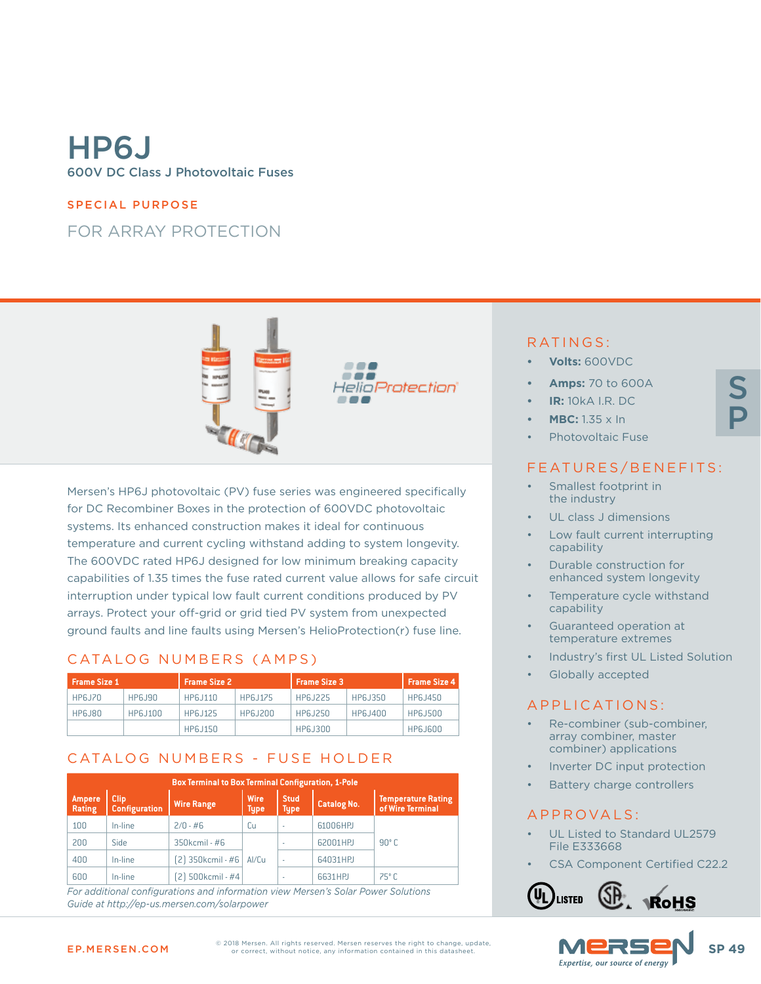# HP6J 600V DC Class J Photovoltaic Fuses

#### SPECIAL PURPOSE

## FOR ARRAY PROTECTION



Mersen's HP6J photovoltaic (PV) fuse series was engineered specifically for DC Recombiner Boxes in the protection of 600VDC photovoltaic systems. Its enhanced construction makes it ideal for continuous temperature and current cycling withstand adding to system longevity. The 600VDC rated HP6J designed for low minimum breaking capacity capabilities of 1.35 times the fuse rated current value allows for safe circuit interruption under typical low fault current conditions produced by PV arrays. Protect your off-grid or grid tied PV system from unexpected ground faults and line faults using Mersen's HelioProtection(r) fuse line.

#### CATALOG NUMBERS (AMPS)

| <b>Frame Size 1</b> |          | <b>Frame Size 2</b> |          | <b>Frame Size 3</b> | <b>Frame Size 4</b> |                 |  |
|---------------------|----------|---------------------|----------|---------------------|---------------------|-----------------|--|
| <b>HP6J70</b>       | HP6.J90  | HP6.J110            | HP6.J175 | HP6.1225            | HP6.J350            | HP6.J450        |  |
| <b>HP6J80</b>       | HP6.J100 | HP6.J125            | HP6.J200 | HP6.J250            | HP6.J400            | <b>HP6.J500</b> |  |
|                     |          | HP6.J150            |          | HP6.J300            |                     | <b>HP6J600</b>  |  |

## CATALOG NUMBERS - FUSE HOLDER

| <b>Box Terminal to Box Terminal Configuration, 1-Pole</b> |                                     |                   |                            |                            |                    |                                               |  |  |  |  |  |
|-----------------------------------------------------------|-------------------------------------|-------------------|----------------------------|----------------------------|--------------------|-----------------------------------------------|--|--|--|--|--|
| Ampere<br>Rating                                          | <b>Clip</b><br><b>Configuration</b> | <b>Wire Range</b> | <b>Wire</b><br><b>Type</b> | <b>Stud</b><br><b>Type</b> | <b>Catalog No.</b> | <b>Temperature Rating</b><br>of Wire Terminal |  |  |  |  |  |
| 100                                                       | In-line                             | $2/0 - #6$        | Cu                         | $\overline{\phantom{a}}$   | 61006HPJ           |                                               |  |  |  |  |  |
| 200                                                       | Side                                | $350$ kcmil - #6  |                            | $\sim$                     | 62001HPJ           | $90^{\circ}$ C                                |  |  |  |  |  |
| 400                                                       | In-line                             | [2] 350kcmil - #6 | Al/Cu                      | ٠                          | 64031HPJ           |                                               |  |  |  |  |  |
| 600                                                       | In-line                             | 2) 500kcmil - #4  |                            | ۰                          | 6631HPJ            | $75^{\circ}$ C                                |  |  |  |  |  |

*For additional configurations and information view Mersen's Solar Power Solutions Guide at http://ep-us.mersen.com/solarpower*

### RATINGS:

- **• Volts:** 600VDC
- **• Amps:** 70 to 600A
- **• IR:** 10kA I.R. DC
- **• MBC:** 1.35 x In
- Photovoltaic Fuse

#### FEATURES/BENEFITS:

- Smallest footprint in the industry
- UL class J dimensions
- Low fault current interrupting capability
- Durable construction for enhanced system longevity
- Temperature cycle withstand capability
- Guaranteed operation at temperature extremes
- Industry's first UL Listed Solution
- Globally accepted

#### APPLICATIONS:

- Re-combiner (sub-combiner, array combiner, master combiner) applications
- Inverter DC input protection
- Battery charge controllers

#### APPROVALS:

- UL Listed to Standard UL2579 File E333668
- CSA Component Certified C22.2



Expertise, our source of energ



EP.MERSEN.COM SP 49 © 2018 Mersen. All rights reserved. Mersen reserves the right to change, update,

S

P